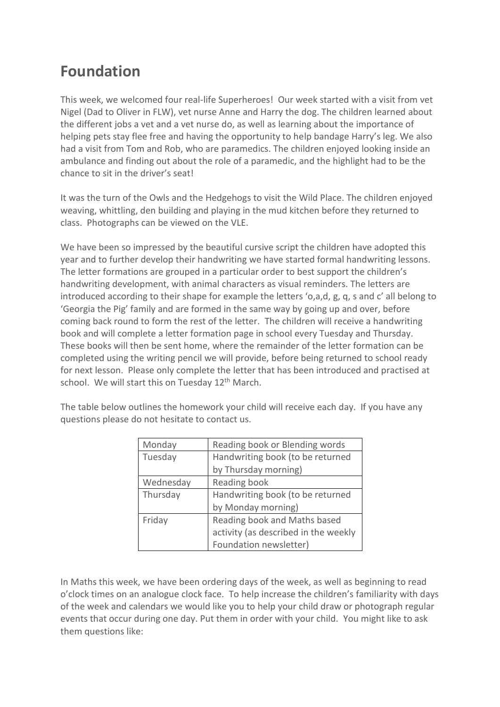## **Foundation**

This week, we welcomed four real-life Superheroes! Our week started with a visit from vet Nigel (Dad to Oliver in FLW), vet nurse Anne and Harry the dog. The children learned about the different jobs a vet and a vet nurse do, as well as learning about the importance of helping pets stay flee free and having the opportunity to help bandage Harry's leg. We also had a visit from Tom and Rob, who are paramedics. The children enjoyed looking inside an ambulance and finding out about the role of a paramedic, and the highlight had to be the chance to sit in the driver's seat!

It was the turn of the Owls and the Hedgehogs to visit the Wild Place. The children enjoyed weaving, whittling, den building and playing in the mud kitchen before they returned to class. Photographs can be viewed on the VLE.

We have been so impressed by the beautiful cursive script the children have adopted this year and to further develop their handwriting we have started formal handwriting lessons. The letter formations are grouped in a particular order to best support the children's handwriting development, with animal characters as visual reminders. The letters are introduced according to their shape for example the letters 'o,a,d, g, q, s and c' all belong to 'Georgia the Pig' family and are formed in the same way by going up and over, before coming back round to form the rest of the letter. The children will receive a handwriting book and will complete a letter formation page in school every Tuesday and Thursday. These books will then be sent home, where the remainder of the letter formation can be completed using the writing pencil we will provide, before being returned to school ready for next lesson. Please only complete the letter that has been introduced and practised at school. We will start this on Tuesday  $12<sup>th</sup>$  March.

| Monday    | Reading book or Blending words       |
|-----------|--------------------------------------|
| Tuesday   | Handwriting book (to be returned     |
|           | by Thursday morning)                 |
| Wednesday | Reading book                         |
| Thursday  | Handwriting book (to be returned     |
|           | by Monday morning)                   |
| Friday    | Reading book and Maths based         |
|           | activity (as described in the weekly |
|           | Foundation newsletter)               |

The table below outlines the homework your child will receive each day. If you have any questions please do not hesitate to contact us.

In Maths this week, we have been ordering days of the week, as well as beginning to read o'clock times on an analogue clock face. To help increase the children's familiarity with days of the week and calendars we would like you to help your child draw or photograph regular events that occur during one day. Put them in order with your child. You might like to ask them questions like: